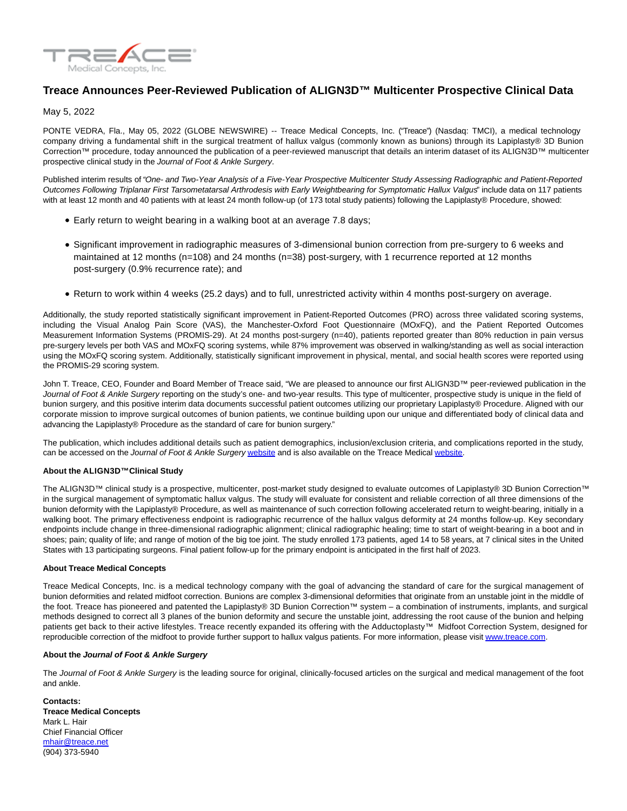

## **Treace Announces Peer-Reviewed Publication of ALIGN3D™ Multicenter Prospective Clinical Data**

May 5, 2022

PONTE VEDRA, Fla., May 05, 2022 (GLOBE NEWSWIRE) -- Treace Medical Concepts, Inc. ("Treace") (Nasdaq: TMCI), a medical technology company driving a fundamental shift in the surgical treatment of hallux valgus (commonly known as bunions) through its Lapiplasty® 3D Bunion Correction™ procedure, today announced the publication of a peer-reviewed manuscript that details an interim dataset of its ALIGN3D™ multicenter prospective clinical study in the Journal of Foot & Ankle Surgery.

Published interim results of "One- and Two-Year Analysis of a Five-Year Prospective Multicenter Study Assessing Radiographic and Patient-Reported Outcomes Following Triplanar First Tarsometatarsal Arthrodesis with Early Weightbearing for Symptomatic Hallux Valgus" include data on 117 patients with at least 12 month and 40 patients with at least 24 month follow-up (of 173 total study patients) following the Lapiplasty® Procedure, showed:

- Early return to weight bearing in a walking boot at an average 7.8 days;
- Significant improvement in radiographic measures of 3-dimensional bunion correction from pre-surgery to 6 weeks and maintained at 12 months (n=108) and 24 months (n=38) post-surgery, with 1 recurrence reported at 12 months post-surgery (0.9% recurrence rate); and
- Return to work within 4 weeks (25.2 days) and to full, unrestricted activity within 4 months post-surgery on average.

Additionally, the study reported statistically significant improvement in Patient-Reported Outcomes (PRO) across three validated scoring systems, including the Visual Analog Pain Score (VAS), the Manchester-Oxford Foot Questionnaire (MOxFQ), and the Patient Reported Outcomes Measurement Information Systems (PROMIS-29). At 24 months post-surgery (n=40), patients reported greater than 80% reduction in pain versus pre-surgery levels per both VAS and MOxFQ scoring systems, while 87% improvement was observed in walking/standing as well as social interaction using the MOxFQ scoring system. Additionally, statistically significant improvement in physical, mental, and social health scores were reported using the PROMIS-29 scoring system.

John T. Treace, CEO, Founder and Board Member of Treace said, "We are pleased to announce our first ALIGN3D™ peer-reviewed publication in the Journal of Foot & Ankle Surgery reporting on the study's one- and two-year results. This type of multicenter, prospective study is unique in the field of bunion surgery, and this positive interim data documents successful patient outcomes utilizing our proprietary Lapiplasty® Procedure. Aligned with our corporate mission to improve surgical outcomes of bunion patients, we continue building upon our unique and differentiated body of clinical data and advancing the Lapiplasty® Procedure as the standard of care for bunion surgery."

The publication, which includes additional details such as patient demographics, inclusion/exclusion criteria, and complications reported in the study, can be accessed on the Journal of Foot & Ankle Surgery [website a](https://www.globenewswire.com/Tracker?data=SDUZ7kWatpVqcZCRh6cwsVsc7kBZ90a-luXNHJWzCMY-bEGgK1FIqh-s1Antv2hmmkbF3f85Fv7ZKwzYxlHeG0Ww33BmwZ0PH5sh1T2zt-R1fxxj0UhpI5aDnGlKItEs)nd is also available on the Treace Medical [website.](https://www.globenewswire.com/Tracker?data=SDUZ7kWatpVqcZCRh6cwsYmDbz2narl453liYFaoBW0ybkLUWKX_G50BhsWPrWv3CNe_qVP97V5LRiqMG2BLRBJWF9tii5JUgK3vRSGK7kP0psHRgIUHXYzFqpmJPLy6)

## **About the ALIGN3D™Clinical Study**

The ALIGN3D™ clinical study is a prospective, multicenter, post-market study designed to evaluate outcomes of Lapiplasty® 3D Bunion Correction™ in the surgical management of symptomatic hallux valgus. The study will evaluate for consistent and reliable correction of all three dimensions of the bunion deformity with the Lapiplasty® Procedure, as well as maintenance of such correction following accelerated return to weight-bearing, initially in a walking boot. The primary effectiveness endpoint is radiographic recurrence of the hallux valgus deformity at 24 months follow-up. Key secondary endpoints include change in three-dimensional radiographic alignment; clinical radiographic healing; time to start of weight-bearing in a boot and in shoes; pain; quality of life; and range of motion of the big toe joint. The study enrolled 173 patients, aged 14 to 58 years, at 7 clinical sites in the United States with 13 participating surgeons. Final patient follow-up for the primary endpoint is anticipated in the first half of 2023.

## **About Treace Medical Concepts**

Treace Medical Concepts, Inc. is a medical technology company with the goal of advancing the standard of care for the surgical management of bunion deformities and related midfoot correction. Bunions are complex 3-dimensional deformities that originate from an unstable joint in the middle of the foot. Treace has pioneered and patented the Lapiplasty® 3D Bunion Correction™ system – a combination of instruments, implants, and surgical methods designed to correct all 3 planes of the bunion deformity and secure the unstable joint, addressing the root cause of the bunion and helping patients get back to their active lifestyles. Treace recently expanded its offering with the Adductoplasty™ Midfoot Correction System, designed for reproducible correction of the midfoot to provide further support to hallux valgus patients. For more information, please visi[t www.treace.com.](https://www.globenewswire.com/Tracker?data=o6KwRLVxTLakGu8AgWFg_HpF-1qSfRblqJvLbUBkw5oTOHWbCnDAzJ6VT38Mx83tQ8aWO6dx73ZgYShFvWPoow==)

## **About the Journal of Foot & Ankle Surgery**

The Journal of Foot & Ankle Surgery is the leading source for original, clinically-focused articles on the surgical and medical management of the foot and ankle.

**Contacts: Treace Medical Concepts** Mark L. Hair Chief Financial Officer [mhair@treace.net](https://www.globenewswire.com/Tracker?data=ND5Szc9MR-BdW7n8ho7-oLurK0HYPAG_ue-enDx2rzTGnOPL4DsQKzoG0IlBXflqiILwWMTdc48S5Ks_7Qyt7A==) (904) 373-5940